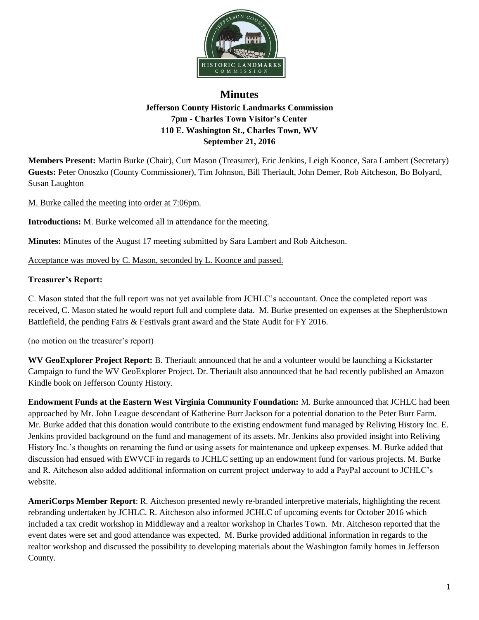

## **Minutes Jefferson County Historic Landmarks Commission 7pm - Charles Town Visitor's Center 110 E. Washington St., Charles Town, WV September 21, 2016**

**Members Present:** Martin Burke (Chair), Curt Mason (Treasurer), Eric Jenkins, Leigh Koonce, Sara Lambert (Secretary) **Guests:** Peter Onoszko (County Commissioner), Tim Johnson, Bill Theriault, John Demer, Rob Aitcheson, Bo Bolyard, Susan Laughton

M. Burke called the meeting into order at 7:06pm.

**Introductions:** M. Burke welcomed all in attendance for the meeting.

**Minutes:** Minutes of the August 17 meeting submitted by Sara Lambert and Rob Aitcheson.

Acceptance was moved by C. Mason, seconded by L. Koonce and passed.

## **Treasurer's Report:**

C. Mason stated that the full report was not yet available from JCHLC's accountant. Once the completed report was received, C. Mason stated he would report full and complete data. M. Burke presented on expenses at the Shepherdstown Battlefield, the pending Fairs & Festivals grant award and the State Audit for FY 2016.

(no motion on the treasurer's report)

**WV GeoExplorer Project Report:** B. Theriault announced that he and a volunteer would be launching a Kickstarter Campaign to fund the WV GeoExplorer Project. Dr. Theriault also announced that he had recently published an Amazon Kindle book on Jefferson County History.

**Endowment Funds at the Eastern West Virginia Community Foundation:** M. Burke announced that JCHLC had been approached by Mr. John League descendant of Katherine Burr Jackson for a potential donation to the Peter Burr Farm. Mr. Burke added that this donation would contribute to the existing endowment fund managed by Reliving History Inc. E. Jenkins provided background on the fund and management of its assets. Mr. Jenkins also provided insight into Reliving History Inc.'s thoughts on renaming the fund or using assets for maintenance and upkeep expenses. M. Burke added that discussion had ensued with EWVCF in regards to JCHLC setting up an endowment fund for various projects. M. Burke and R. Aitcheson also added additional information on current project underway to add a PayPal account to JCHLC's website.

**AmeriCorps Member Report**: R. Aitcheson presented newly re-branded interpretive materials, highlighting the recent rebranding undertaken by JCHLC. R. Aitcheson also informed JCHLC of upcoming events for October 2016 which included a tax credit workshop in Middleway and a realtor workshop in Charles Town. Mr. Aitcheson reported that the event dates were set and good attendance was expected. M. Burke provided additional information in regards to the realtor workshop and discussed the possibility to developing materials about the Washington family homes in Jefferson County.